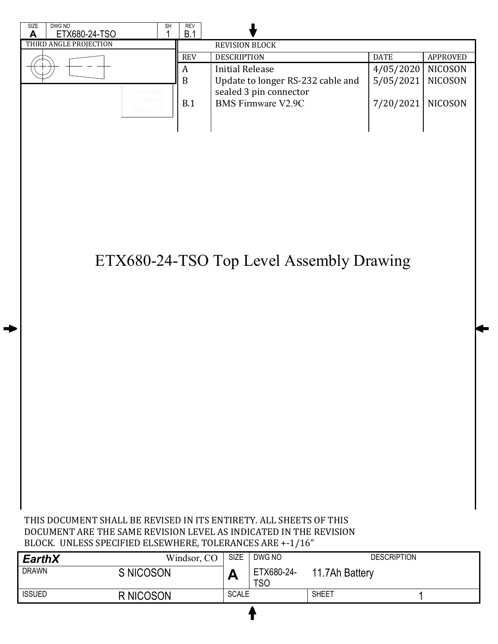

| <b>EarthX</b> | Windsor, CO | SIZE         | DWG NO                   |                | <b>DESCRIPTION</b> |
|---------------|-------------|--------------|--------------------------|----------------|--------------------|
| <b>DRAWN</b>  | S NICOSON   | r            | ETX680-24-<br><b>TSO</b> | 11.7Ah Battery |                    |
| <b>ISSUED</b> | R NICOSON   | <b>SCALE</b> |                          | <b>SHEET</b>   |                    |
|               |             |              |                          |                |                    |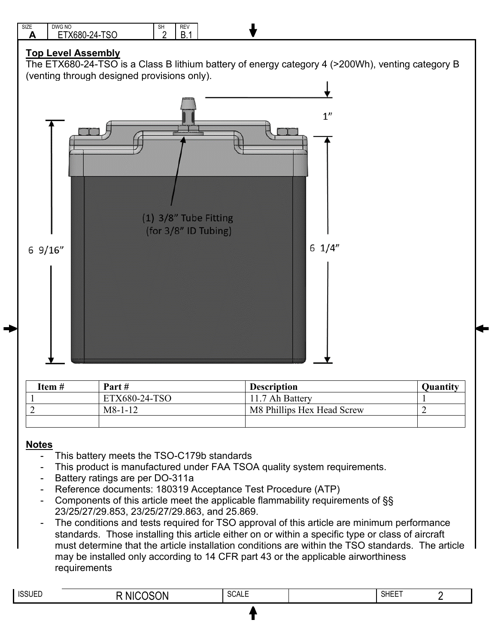

| Item # | Part#         | <b>Description</b>         | <b>Ouantity</b> |
|--------|---------------|----------------------------|-----------------|
|        | ETX680-24-TSO | 11.7 Ah Battery            |                 |
| ◠<br>∠ | $M8-1-12$     | M8 Phillips Hex Head Screw |                 |
|        |               |                            |                 |

## **Notes**

- This battery meets the TSO-C179b standards
- This product is manufactured under FAA TSOA quality system requirements.
- Battery ratings are per DO-311a
- Reference documents: 180319 Acceptance Test Procedure (ATP)
- Components of this article meet the applicable flammability requirements of §§ 23/25/27/29.853, 23/25/27/29.863, and 25.869.
- The conditions and tests required for TSO approval of this article are minimum performance standards. Those installing this article either on or within a specific type or class of aircraft must determine that the article installation conditions are within the TSO standards. The article may be installed only according to 14 CFR part 43 or the applicable airworthiness requirements

| <b>ISSUED</b> | $\sim$<br>)N<br>NH | .<br>NUAL∟<br>$  -$ | <b>SHEET</b> |  |
|---------------|--------------------|---------------------|--------------|--|
|               |                    |                     |              |  |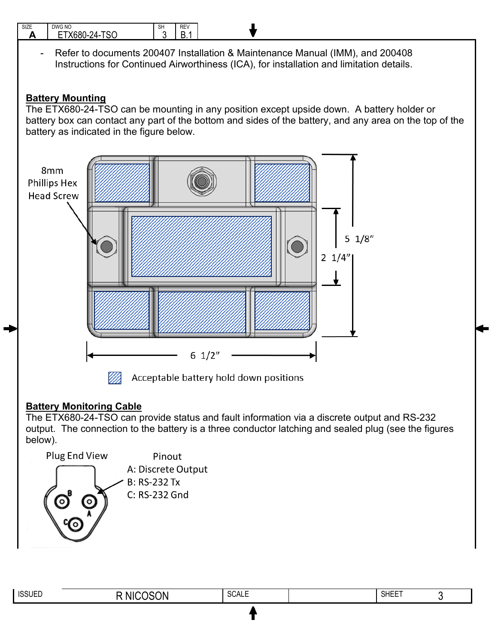

The ETX680-24-TSO can provide status and fault information via a discrete output and RS-232 output. The connection to the battery is a three conductor latching and sealed plug (see the figures below).



| <b>ISSUED</b> | $\sim$ ON<br>NI | <b>SCALE</b> | <b>OUTER</b><br><b>SHEE</b> |  |
|---------------|-----------------|--------------|-----------------------------|--|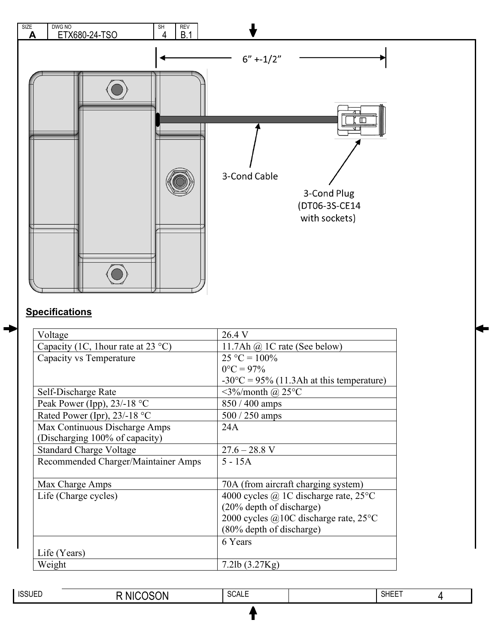

## **Specifications**

| Voltage                             | 26.4 V                                             |
|-------------------------------------|----------------------------------------------------|
| Capacity (1C, 1 hour rate at 23 °C) | 11.7Ah $@$ 1C rate (See below)                     |
| Capacity vs Temperature             | $25 °C = 100\%$                                    |
|                                     | $0^{\circ}C = 97\%$                                |
|                                     | $-30^{\circ}$ C = 95% (11.3Ah at this temperature) |
| Self-Discharge Rate                 | $\langle 3\% \rangle$ month @ 25°C                 |
| Peak Power (Ipp), $23/-18$ °C       | $850 / 400$ amps                                   |
| Rated Power (Ipr), $23/-18$ °C      | $500 / 250$ amps                                   |
| Max Continuous Discharge Amps       | 24A                                                |
| (Discharging 100% of capacity)      |                                                    |
| <b>Standard Charge Voltage</b>      | $27.6 - 28.8$ V                                    |
| Recommended Charger/Maintainer Amps | $5 - 15A$                                          |
|                                     |                                                    |
| Max Charge Amps                     | 70A (from aircraft charging system)                |
| Life (Charge cycles)                | 4000 cycles $\omega$ 1C discharge rate, 25 °C      |
|                                     | (20% depth of discharge)                           |
|                                     | 2000 cycles @10C discharge rate, $25^{\circ}$ C    |
|                                     | (80% depth of discharge)                           |
|                                     | 6 Years                                            |
| Life (Years)                        |                                                    |
| Weight                              | 7.2lb $(3.27Kg)$                                   |

|  | <b>ISSUED</b> | $\gamma$<br>N | 0011F<br>$\mathbf{v}$<br><b>JUALE</b> |  | <b>SHEET</b> |  |
|--|---------------|---------------|---------------------------------------|--|--------------|--|
|--|---------------|---------------|---------------------------------------|--|--------------|--|